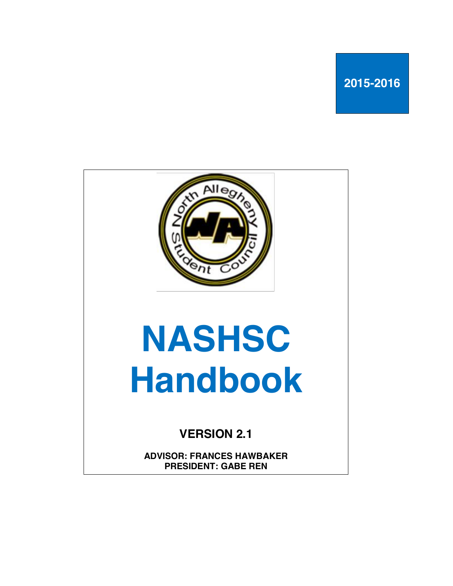**2015-2016**



**PRESIDENT: GABE REN**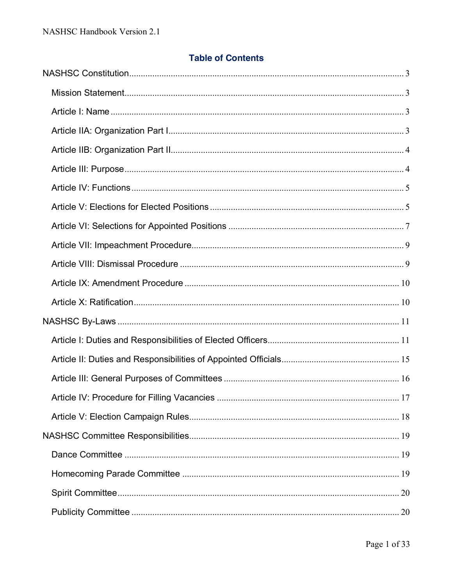# **Table of Contents**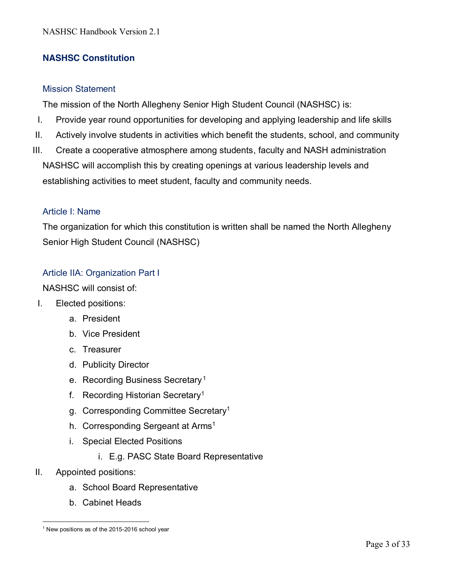# **NASHSC Constitution**

### Mission Statement

The mission of the North Allegheny Senior High Student Council (NASHSC) is:

- I. Provide year round opportunities for developing and applying leadership and life skills
- II. Actively involve students in activities which benefit the students, school, and community
- III. Create a cooperative atmosphere among students, faculty and NASH administration NASHSC will accomplish this by creating openings at various leadership levels and establishing activities to meet student, faculty and community needs.

### Article I: Name

The organization for which this constitution is written shall be named the North Allegheny Senior High Student Council (NASHSC)

### Article IIA: Organization Part I

NASHSC will consist of:

- I. Elected positions:
	- a. President
	- b. Vice President
	- c. Treasurer
	- d. Publicity Director
	- e. Recording Business Secretary.<sup>1</sup>
	- f. Recording Historian Secretary1
	- g. Corresponding Committee Secretary1
	- h. Corresponding Sergeant at Arms<sup>1</sup>
	- i. Special Elected Positions
		- i. E.g. PASC State Board Representative
- II. Appointed positions:
	- a. School Board Representative
	- b. Cabinet Heads

 $\overline{a}$ <sup>1</sup> New positions as of the 2015-2016 school year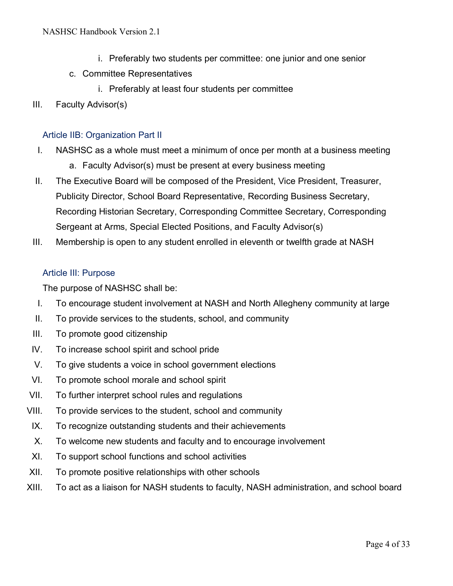- i. Preferably two students per committee: one junior and one senior
- c. Committee Representatives
	- i. Preferably at least four students per committee
- III. Faculty Advisor(s)

### Article IIB: Organization Part II

- I. NASHSC as a whole must meet a minimum of once per month at a business meeting
	- a. Faculty Advisor(s) must be present at every business meeting
- II. The Executive Board will be composed of the President, Vice President, Treasurer, Publicity Director, School Board Representative, Recording Business Secretary, Recording Historian Secretary, Corresponding Committee Secretary, Corresponding Sergeant at Arms, Special Elected Positions, and Faculty Advisor(s)
- III. Membership is open to any student enrolled in eleventh or twelfth grade at NASH

## Article III: Purpose

The purpose of NASHSC shall be:

- I. To encourage student involvement at NASH and North Allegheny community at large
- II. To provide services to the students, school, and community
- III. To promote good citizenship
- IV. To increase school spirit and school pride
- V. To give students a voice in school government elections
- VI. To promote school morale and school spirit
- VII. To further interpret school rules and regulations
- VIII. To provide services to the student, school and community
- IX. To recognize outstanding students and their achievements
- X. To welcome new students and faculty and to encourage involvement
- XI. To support school functions and school activities
- XII. To promote positive relationships with other schools
- XIII. To act as a liaison for NASH students to faculty, NASH administration, and school board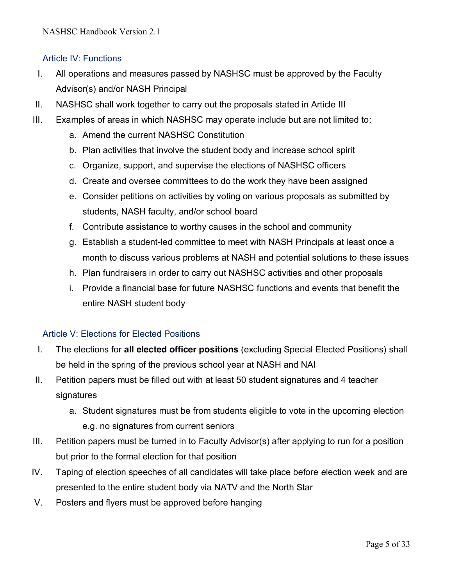## Article IV: Functions

- I. All operations and measures passed by NASHSC must be approved by the Faculty Advisor(s) and/or NASH Principal
- II. NASHSC shall work together to carry out the proposals stated in Article III
- III. Examples of areas in which NASHSC may operate include but are not limited to:
	- a. Amend the current NASHSC Constitution
	- b. Plan activities that involve the student body and increase school spirit
	- c. Organize, support, and supervise the elections of NASHSC officers
	- d. Create and oversee committees to do the work they have been assigned
	- e. Consider petitions on activities by voting on various proposals as submitted by students, NASH faculty, and/or school board
	- f. Contribute assistance to worthy causes in the school and community
	- g. Establish a student-led committee to meet with NASH Principals at least once a month to discuss various problems at NASH and potential solutions to these issues
	- h. Plan fundraisers in order to carry out NASHSC activities and other proposals
	- i. Provide a financial base for future NASHSC functions and events that benefit the entire NASH student body

## Article V: Elections for Elected Positions

- I. The elections for **all elected officer positions** (excluding Special Elected Positions) shall be held in the spring of the previous school year at NASH and NAI
- II. Petition papers must be filled out with at least 50 student signatures and 4 teacher signatures
	- a. Student signatures must be from students eligible to vote in the upcoming election e.g. no signatures from current seniors
- III. Petition papers must be turned in to Faculty Advisor(s) after applying to run for a position but prior to the formal election for that position
- IV. Taping of election speeches of all candidates will take place before election week and are presented to the entire student body via NATV and the North Star
- V. Posters and flyers must be approved before hanging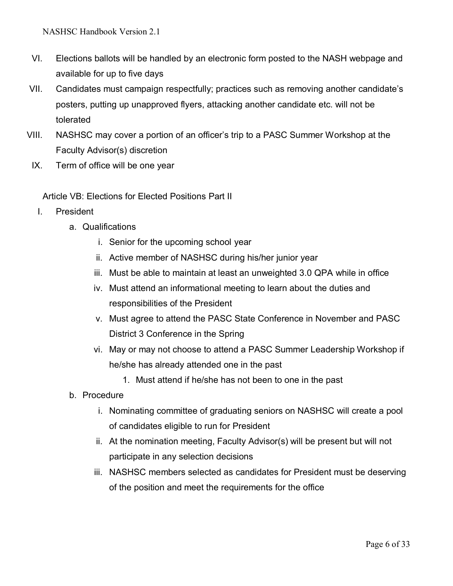NASHSC Handbook Version 2.1

- VI. Elections ballots will be handled by an electronic form posted to the NASH webpage and available for up to five days
- VII. Candidates must campaign respectfully; practices such as removing another candidate's posters, putting up unapproved flyers, attacking another candidate etc. will not be tolerated
- VIII. NASHSC may cover a portion of an officer's trip to a PASC Summer Workshop at the Faculty Advisor(s) discretion
- IX. Term of office will be one year

Article VB: Elections for Elected Positions Part II

- I. President
	- a. Qualifications
		- i. Senior for the upcoming school year
		- ii. Active member of NASHSC during his/her junior year
		- iii. Must be able to maintain at least an unweighted 3.0 QPA while in office
		- iv. Must attend an informational meeting to learn about the duties and responsibilities of the President
		- v. Must agree to attend the PASC State Conference in November and PASC District 3 Conference in the Spring
		- vi. May or may not choose to attend a PASC Summer Leadership Workshop if he/she has already attended one in the past
			- 1. Must attend if he/she has not been to one in the past
	- b. Procedure
		- i. Nominating committee of graduating seniors on NASHSC will create a pool of candidates eligible to run for President
		- ii. At the nomination meeting, Faculty Advisor(s) will be present but will not participate in any selection decisions
		- iii. NASHSC members selected as candidates for President must be deserving of the position and meet the requirements for the office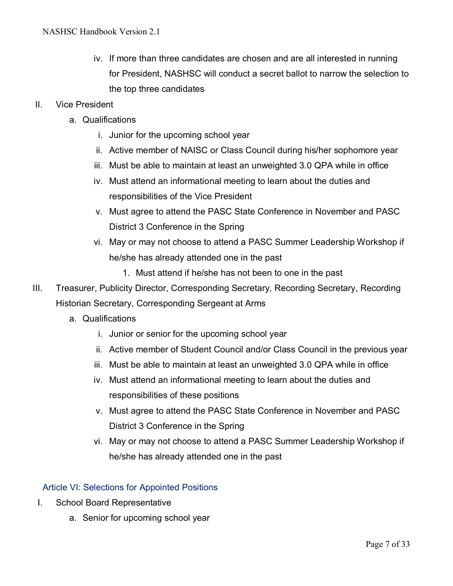- iv. If more than three candidates are chosen and are all interested in running for President, NASHSC will conduct a secret ballot to narrow the selection to the top three candidates
- II. Vice President
	- a. Qualifications
		- i. Junior for the upcoming school year
		- ii. Active member of NAISC or Class Council during his/her sophomore year
		- iii. Must be able to maintain at least an unweighted 3.0 QPA while in office
		- iv. Must attend an informational meeting to learn about the duties and responsibilities of the Vice President
		- v. Must agree to attend the PASC State Conference in November and PASC District 3 Conference in the Spring
		- vi. May or may not choose to attend a PASC Summer Leadership Workshop if he/she has already attended one in the past
			- 1. Must attend if he/she has not been to one in the past
- III. Treasurer, Publicity Director, Corresponding Secretary, Recording Secretary, Recording Historian Secretary, Corresponding Sergeant at Arms
	- a. Qualifications
		- i. Junior or senior for the upcoming school year
		- ii. Active member of Student Council and/or Class Council in the previous year
		- iii. Must be able to maintain at least an unweighted 3.0 QPA while in office
		- iv. Must attend an informational meeting to learn about the duties and responsibilities of these positions
		- v. Must agree to attend the PASC State Conference in November and PASC District 3 Conference in the Spring
		- vi. May or may not choose to attend a PASC Summer Leadership Workshop if he/she has already attended one in the past

#### Article VI: Selections for Appointed Positions

- I. School Board Representative
	- a. Senior for upcoming school year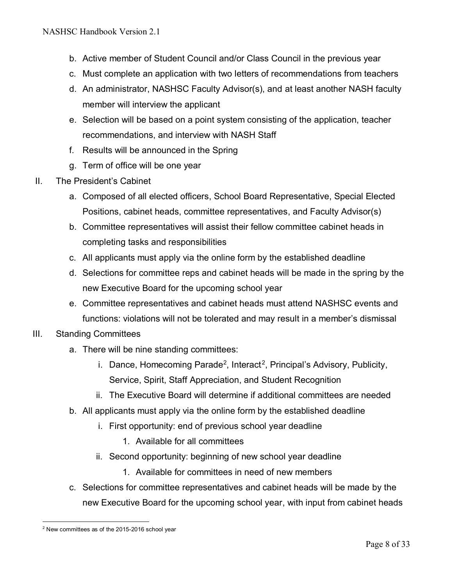- b. Active member of Student Council and/or Class Council in the previous year
- c. Must complete an application with two letters of recommendations from teachers
- d. An administrator, NASHSC Faculty Advisor(s), and at least another NASH faculty member will interview the applicant
- e. Selection will be based on a point system consisting of the application, teacher recommendations, and interview with NASH Staff
- f. Results will be announced in the Spring
- g. Term of office will be one year
- II. The President's Cabinet
	- a. Composed of all elected officers, School Board Representative, Special Elected Positions, cabinet heads, committee representatives, and Faculty Advisor(s)
	- b. Committee representatives will assist their fellow committee cabinet heads in completing tasks and responsibilities
	- c. All applicants must apply via the online form by the established deadline
	- d. Selections for committee reps and cabinet heads will be made in the spring by the new Executive Board for the upcoming school year
	- e. Committee representatives and cabinet heads must attend NASHSC events and functions: violations will not be tolerated and may result in a member's dismissal
- III. Standing Committees
	- a. There will be nine standing committees:
		- i. Dance, Homecoming Parade<sup>2</sup>, Interact<sup>2</sup>, Principal's Advisory, Publicity, Service, Spirit, Staff Appreciation, and Student Recognition
		- ii. The Executive Board will determine if additional committees are needed
	- b. All applicants must apply via the online form by the established deadline
		- i. First opportunity: end of previous school year deadline
			- 1. Available for all committees
		- ii. Second opportunity: beginning of new school year deadline
			- 1. Available for committees in need of new members
	- c. Selections for committee representatives and cabinet heads will be made by the new Executive Board for the upcoming school year, with input from cabinet heads

 $\overline{a}$ 

<sup>2</sup> New committees as of the 2015-2016 school year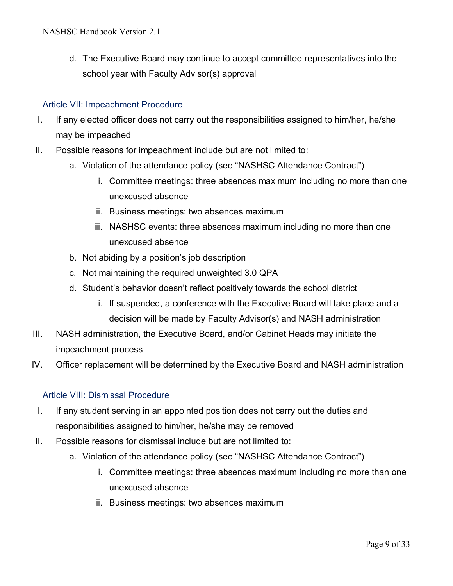d. The Executive Board may continue to accept committee representatives into the school year with Faculty Advisor(s) approval

## Article VII: Impeachment Procedure

- I. If any elected officer does not carry out the responsibilities assigned to him/her, he/she may be impeached
- II. Possible reasons for impeachment include but are not limited to:
	- a. Violation of the attendance policy (see "NASHSC Attendance Contract")
		- i. Committee meetings: three absences maximum including no more than one unexcused absence
		- ii. Business meetings: two absences maximum
		- iii. NASHSC events: three absences maximum including no more than one unexcused absence
	- b. Not abiding by a position's job description
	- c. Not maintaining the required unweighted 3.0 QPA
	- d. Student's behavior doesn't reflect positively towards the school district
		- i. If suspended, a conference with the Executive Board will take place and a decision will be made by Faculty Advisor(s) and NASH administration
- III. NASH administration, the Executive Board, and/or Cabinet Heads may initiate the impeachment process
- IV. Officer replacement will be determined by the Executive Board and NASH administration

## Article VIII: Dismissal Procedure

- I. If any student serving in an appointed position does not carry out the duties and responsibilities assigned to him/her, he/she may be removed
- II. Possible reasons for dismissal include but are not limited to:
	- a. Violation of the attendance policy (see "NASHSC Attendance Contract")
		- i. Committee meetings: three absences maximum including no more than one unexcused absence
		- ii. Business meetings: two absences maximum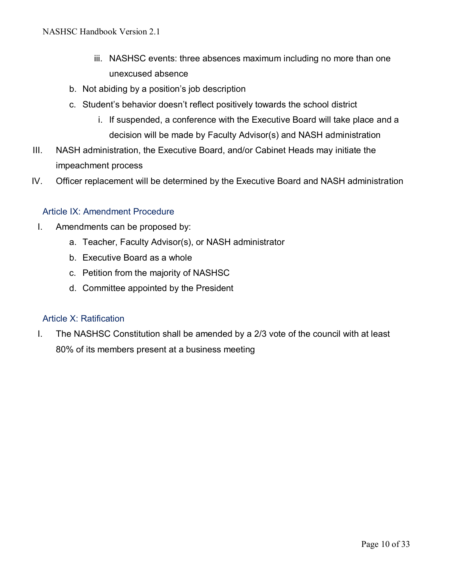- iii. NASHSC events: three absences maximum including no more than one unexcused absence
- b. Not abiding by a position's job description
- c. Student's behavior doesn't reflect positively towards the school district
	- i. If suspended, a conference with the Executive Board will take place and a decision will be made by Faculty Advisor(s) and NASH administration
- III. NASH administration, the Executive Board, and/or Cabinet Heads may initiate the impeachment process
- IV. Officer replacement will be determined by the Executive Board and NASH administration

### Article IX: Amendment Procedure

- I. Amendments can be proposed by:
	- a. Teacher, Faculty Advisor(s), or NASH administrator
	- b. Executive Board as a whole
	- c. Petition from the majority of NASHSC
	- d. Committee appointed by the President

### Article X: Ratification

I. The NASHSC Constitution shall be amended by a 2/3 vote of the council with at least 80% of its members present at a business meeting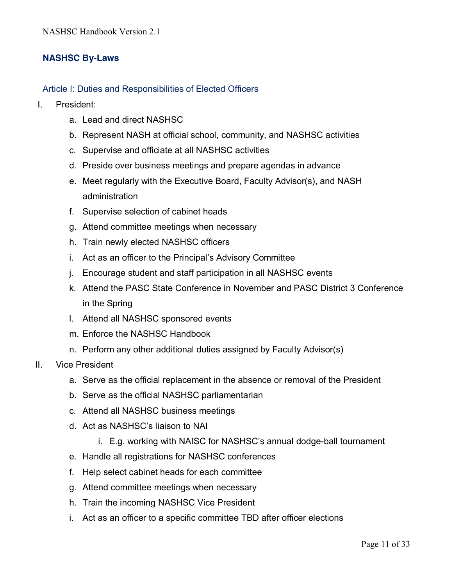## **NASHSC By-Laws**

### Article I: Duties and Responsibilities of Elected Officers

- I. President:
	- a. Lead and direct NASHSC
	- b. Represent NASH at official school, community, and NASHSC activities
	- c. Supervise and officiate at all NASHSC activities
	- d. Preside over business meetings and prepare agendas in advance
	- e. Meet regularly with the Executive Board, Faculty Advisor(s), and NASH administration
	- f. Supervise selection of cabinet heads
	- g. Attend committee meetings when necessary
	- h. Train newly elected NASHSC officers
	- i. Act as an officer to the Principal's Advisory Committee
	- j. Encourage student and staff participation in all NASHSC events
	- k. Attend the PASC State Conference in November and PASC District 3 Conference in the Spring
	- l. Attend all NASHSC sponsored events
	- m. Enforce the NASHSC Handbook
	- n. Perform any other additional duties assigned by Faculty Advisor(s)
- II. Vice President
	- a. Serve as the official replacement in the absence or removal of the President
	- b. Serve as the official NASHSC parliamentarian
	- c. Attend all NASHSC business meetings
	- d. Act as NASHSC's liaison to NAI
		- i. E.g. working with NAISC for NASHSC's annual dodge-ball tournament
	- e. Handle all registrations for NASHSC conferences
	- f. Help select cabinet heads for each committee
	- g. Attend committee meetings when necessary
	- h. Train the incoming NASHSC Vice President
	- i. Act as an officer to a specific committee TBD after officer elections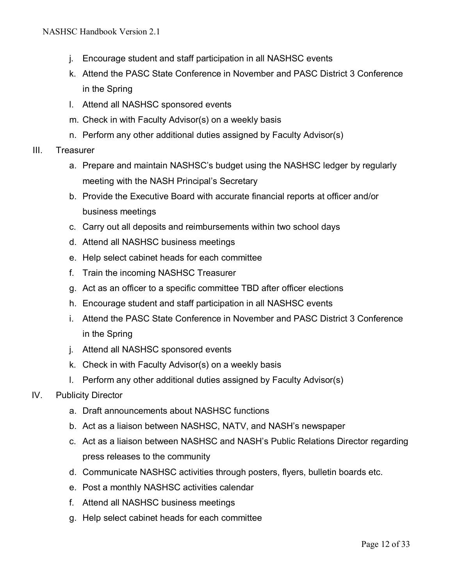- j. Encourage student and staff participation in all NASHSC events
- k. Attend the PASC State Conference in November and PASC District 3 Conference in the Spring
- l. Attend all NASHSC sponsored events
- m. Check in with Faculty Advisor(s) on a weekly basis
- n. Perform any other additional duties assigned by Faculty Advisor(s)
- III. Treasurer
	- a. Prepare and maintain NASHSC's budget using the NASHSC ledger by regularly meeting with the NASH Principal's Secretary
	- b. Provide the Executive Board with accurate financial reports at officer and/or business meetings
	- c. Carry out all deposits and reimbursements within two school days
	- d. Attend all NASHSC business meetings
	- e. Help select cabinet heads for each committee
	- f. Train the incoming NASHSC Treasurer
	- g. Act as an officer to a specific committee TBD after officer elections
	- h. Encourage student and staff participation in all NASHSC events
	- i. Attend the PASC State Conference in November and PASC District 3 Conference in the Spring
	- j. Attend all NASHSC sponsored events
	- k. Check in with Faculty Advisor(s) on a weekly basis
	- l. Perform any other additional duties assigned by Faculty Advisor(s)
- IV. Publicity Director
	- a. Draft announcements about NASHSC functions
	- b. Act as a liaison between NASHSC, NATV, and NASH's newspaper
	- c. Act as a liaison between NASHSC and NASH's Public Relations Director regarding press releases to the community
	- d. Communicate NASHSC activities through posters, flyers, bulletin boards etc.
	- e. Post a monthly NASHSC activities calendar
	- f. Attend all NASHSC business meetings
	- g. Help select cabinet heads for each committee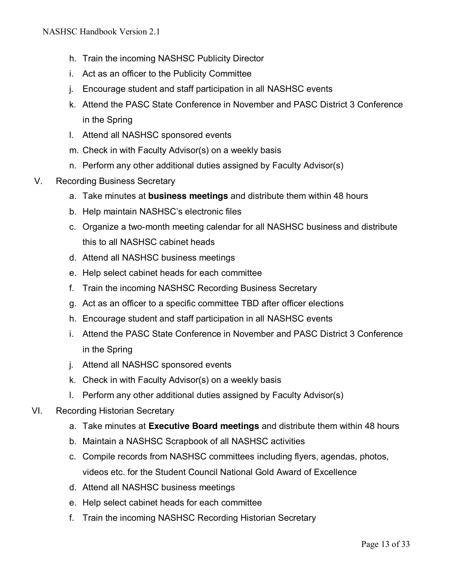- h. Train the incoming NASHSC Publicity Director
- i. Act as an officer to the Publicity Committee
- j. Encourage student and staff participation in all NASHSC events
- k. Attend the PASC State Conference in November and PASC District 3 Conference in the Spring
- l. Attend all NASHSC sponsored events
- m. Check in with Faculty Advisor(s) on a weekly basis
- n. Perform any other additional duties assigned by Faculty Advisor(s)
- V. Recording Business Secretary
	- a. Take minutes at **business meetings** and distribute them within 48 hours
	- b. Help maintain NASHSC's electronic files
	- c. Organize a two-month meeting calendar for all NASHSC business and distribute this to all NASHSC cabinet heads
	- d. Attend all NASHSC business meetings
	- e. Help select cabinet heads for each committee
	- f. Train the incoming NASHSC Recording Business Secretary
	- g. Act as an officer to a specific committee TBD after officer elections
	- h. Encourage student and staff participation in all NASHSC events
	- i. Attend the PASC State Conference in November and PASC District 3 Conference in the Spring
	- j. Attend all NASHSC sponsored events
	- k. Check in with Faculty Advisor(s) on a weekly basis
	- l. Perform any other additional duties assigned by Faculty Advisor(s)
- VI. Recording Historian Secretary
	- a. Take minutes at **Executive Board meetings** and distribute them within 48 hours
	- b. Maintain a NASHSC Scrapbook of all NASHSC activities
	- c. Compile records from NASHSC committees including flyers, agendas, photos, videos etc. for the Student Council National Gold Award of Excellence
	- d. Attend all NASHSC business meetings
	- e. Help select cabinet heads for each committee
	- f. Train the incoming NASHSC Recording Historian Secretary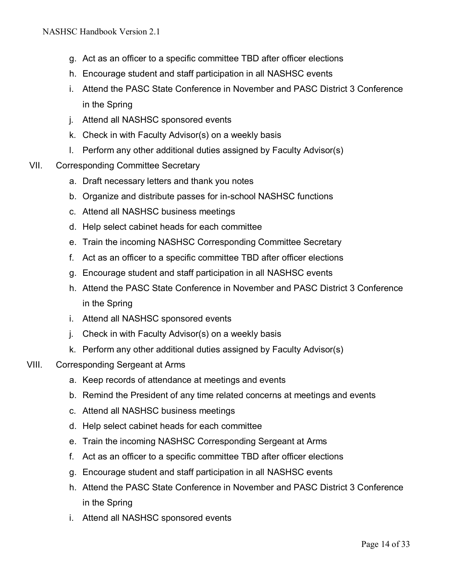- g. Act as an officer to a specific committee TBD after officer elections
- h. Encourage student and staff participation in all NASHSC events
- i. Attend the PASC State Conference in November and PASC District 3 Conference in the Spring
- j. Attend all NASHSC sponsored events
- k. Check in with Faculty Advisor(s) on a weekly basis
- l. Perform any other additional duties assigned by Faculty Advisor(s)
- VII. Corresponding Committee Secretary
	- a. Draft necessary letters and thank you notes
	- b. Organize and distribute passes for in-school NASHSC functions
	- c. Attend all NASHSC business meetings
	- d. Help select cabinet heads for each committee
	- e. Train the incoming NASHSC Corresponding Committee Secretary
	- f. Act as an officer to a specific committee TBD after officer elections
	- g. Encourage student and staff participation in all NASHSC events
	- h. Attend the PASC State Conference in November and PASC District 3 Conference in the Spring
	- i. Attend all NASHSC sponsored events
	- j. Check in with Faculty Advisor(s) on a weekly basis
	- k. Perform any other additional duties assigned by Faculty Advisor(s)
- VIII. Corresponding Sergeant at Arms
	- a. Keep records of attendance at meetings and events
	- b. Remind the President of any time related concerns at meetings and events
	- c. Attend all NASHSC business meetings
	- d. Help select cabinet heads for each committee
	- e. Train the incoming NASHSC Corresponding Sergeant at Arms
	- f. Act as an officer to a specific committee TBD after officer elections
	- g. Encourage student and staff participation in all NASHSC events
	- h. Attend the PASC State Conference in November and PASC District 3 Conference in the Spring
	- i. Attend all NASHSC sponsored events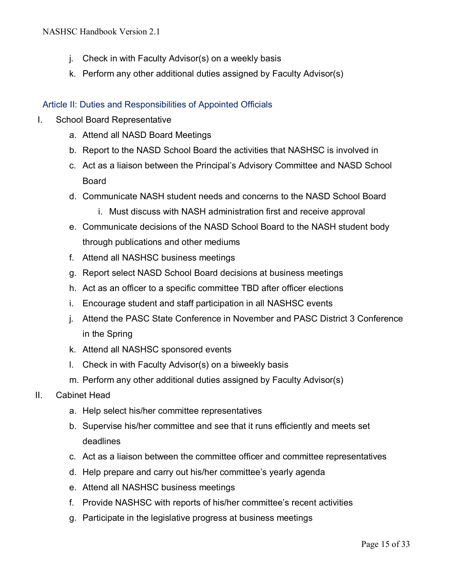- j. Check in with Faculty Advisor(s) on a weekly basis
- k. Perform any other additional duties assigned by Faculty Advisor(s)

## Article II: Duties and Responsibilities of Appointed Officials

- I. School Board Representative
	- a. Attend all NASD Board Meetings
	- b. Report to the NASD School Board the activities that NASHSC is involved in
	- c. Act as a liaison between the Principal's Advisory Committee and NASD School Board
	- d. Communicate NASH student needs and concerns to the NASD School Board
		- i. Must discuss with NASH administration first and receive approval
	- e. Communicate decisions of the NASD School Board to the NASH student body through publications and other mediums
	- f. Attend all NASHSC business meetings
	- g. Report select NASD School Board decisions at business meetings
	- h. Act as an officer to a specific committee TBD after officer elections
	- i. Encourage student and staff participation in all NASHSC events
	- j. Attend the PASC State Conference in November and PASC District 3 Conference in the Spring
	- k. Attend all NASHSC sponsored events
	- l. Check in with Faculty Advisor(s) on a biweekly basis
	- m. Perform any other additional duties assigned by Faculty Advisor(s)
- II. Cabinet Head
	- a. Help select his/her committee representatives
	- b. Supervise his/her committee and see that it runs efficiently and meets set deadlines
	- c. Act as a liaison between the committee officer and committee representatives
	- d. Help prepare and carry out his/her committee's yearly agenda
	- e. Attend all NASHSC business meetings
	- f. Provide NASHSC with reports of his/her committee's recent activities
	- g. Participate in the legislative progress at business meetings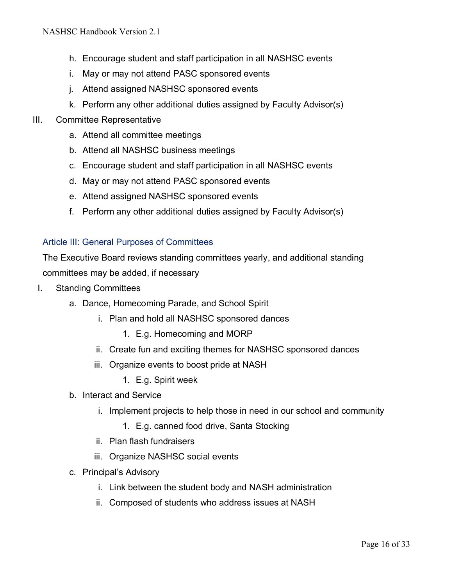- h. Encourage student and staff participation in all NASHSC events
- i. May or may not attend PASC sponsored events
- j. Attend assigned NASHSC sponsored events
- k. Perform any other additional duties assigned by Faculty Advisor(s)
- III. Committee Representative
	- a. Attend all committee meetings
	- b. Attend all NASHSC business meetings
	- c. Encourage student and staff participation in all NASHSC events
	- d. May or may not attend PASC sponsored events
	- e. Attend assigned NASHSC sponsored events
	- f. Perform any other additional duties assigned by Faculty Advisor(s)

#### Article III: General Purposes of Committees

The Executive Board reviews standing committees yearly, and additional standing committees may be added, if necessary

- I. Standing Committees
	- a. Dance, Homecoming Parade, and School Spirit
		- i. Plan and hold all NASHSC sponsored dances
			- 1. E.g. Homecoming and MORP
		- ii. Create fun and exciting themes for NASHSC sponsored dances
		- iii. Organize events to boost pride at NASH
			- 1. E.g. Spirit week
	- b. Interact and Service
		- i. Implement projects to help those in need in our school and community
			- 1. E.g. canned food drive, Santa Stocking
		- ii. Plan flash fundraisers
		- iii. Organize NASHSC social events
	- c. Principal's Advisory
		- i. Link between the student body and NASH administration
		- ii. Composed of students who address issues at NASH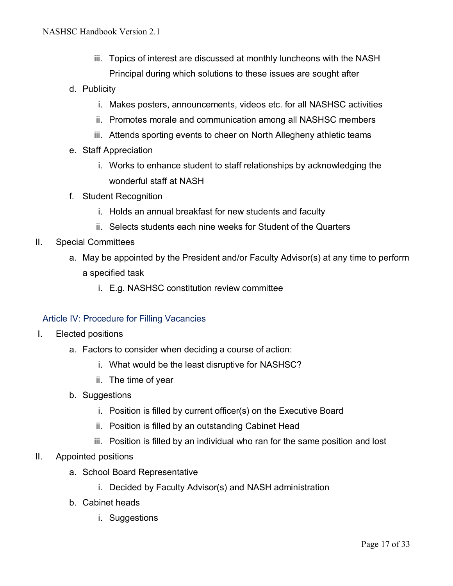- iii. Topics of interest are discussed at monthly luncheons with the NASH Principal during which solutions to these issues are sought after
- d. Publicity
	- i. Makes posters, announcements, videos etc. for all NASHSC activities
	- ii. Promotes morale and communication among all NASHSC members
	- iii. Attends sporting events to cheer on North Allegheny athletic teams
- e. Staff Appreciation
	- i. Works to enhance student to staff relationships by acknowledging the wonderful staff at NASH
- f. Student Recognition
	- i. Holds an annual breakfast for new students and faculty
	- ii. Selects students each nine weeks for Student of the Quarters
- II. Special Committees
	- a. May be appointed by the President and/or Faculty Advisor(s) at any time to perform a specified task
		- i. E.g. NASHSC constitution review committee

#### Article IV: Procedure for Filling Vacancies

- I. Elected positions
	- a. Factors to consider when deciding a course of action:
		- i. What would be the least disruptive for NASHSC?
		- ii. The time of year
	- b. Suggestions
		- i. Position is filled by current officer(s) on the Executive Board
		- ii. Position is filled by an outstanding Cabinet Head
		- iii. Position is filled by an individual who ran for the same position and lost
- II. Appointed positions
	- a. School Board Representative
		- i. Decided by Faculty Advisor(s) and NASH administration
	- b. Cabinet heads
		- i. Suggestions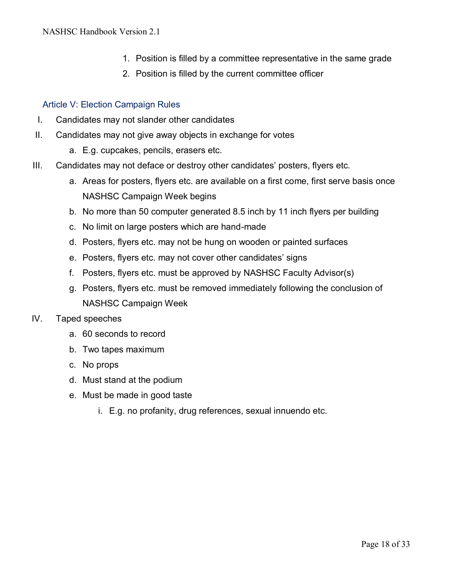- 1. Position is filled by a committee representative in the same grade
- 2. Position is filled by the current committee officer

#### Article V: Election Campaign Rules

- I. Candidates may not slander other candidates
- II. Candidates may not give away objects in exchange for votes
	- a. E.g. cupcakes, pencils, erasers etc.
- III. Candidates may not deface or destroy other candidates' posters, flyers etc.
	- a. Areas for posters, flyers etc. are available on a first come, first serve basis once NASHSC Campaign Week begins
	- b. No more than 50 computer generated 8.5 inch by 11 inch flyers per building
	- c. No limit on large posters which are hand-made
	- d. Posters, flyers etc. may not be hung on wooden or painted surfaces
	- e. Posters, flyers etc. may not cover other candidates' signs
	- f. Posters, flyers etc. must be approved by NASHSC Faculty Advisor(s)
	- g. Posters, flyers etc. must be removed immediately following the conclusion of NASHSC Campaign Week

#### IV. Taped speeches

- a. 60 seconds to record
- b. Two tapes maximum
- c. No props
- d. Must stand at the podium
- e. Must be made in good taste
	- i. E.g. no profanity, drug references, sexual innuendo etc.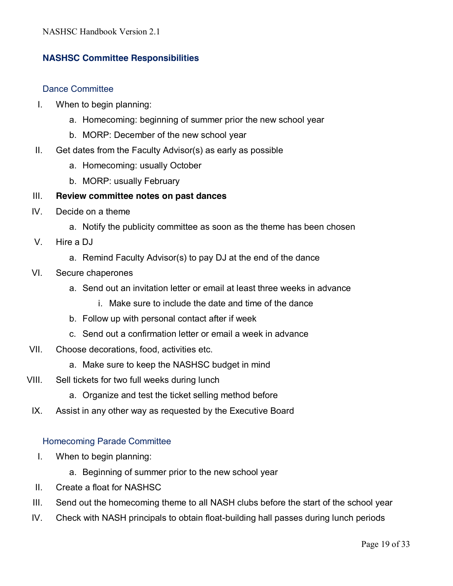## **NASHSC Committee Responsibilities**

#### Dance Committee

- I. When to begin planning:
	- a. Homecoming: beginning of summer prior the new school year
	- b. MORP: December of the new school year
- II. Get dates from the Faculty Advisor(s) as early as possible
	- a. Homecoming: usually October
	- b. MORP: usually February

#### III. **Review committee notes on past dances**

- IV. Decide on a theme
	- a. Notify the publicity committee as soon as the theme has been chosen
- V. Hire a DJ
	- a. Remind Faculty Advisor(s) to pay DJ at the end of the dance
- VI. Secure chaperones
	- a. Send out an invitation letter or email at least three weeks in advance
		- i. Make sure to include the date and time of the dance
	- b. Follow up with personal contact after if week
	- c. Send out a confirmation letter or email a week in advance
- VII. Choose decorations, food, activities etc.
	- a. Make sure to keep the NASHSC budget in mind
- VIII. Sell tickets for two full weeks during lunch
	- a. Organize and test the ticket selling method before
- IX. Assist in any other way as requested by the Executive Board

#### Homecoming Parade Committee

- I. When to begin planning:
	- a. Beginning of summer prior to the new school year
- II. Create a float for NASHSC
- III. Send out the homecoming theme to all NASH clubs before the start of the school year
- IV. Check with NASH principals to obtain float-building hall passes during lunch periods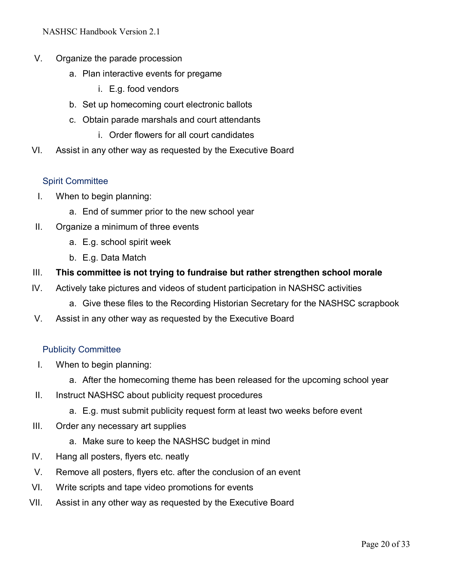NASHSC Handbook Version 2.1

- V. Organize the parade procession
	- a. Plan interactive events for pregame
		- i. E.g. food vendors
	- b. Set up homecoming court electronic ballots
	- c. Obtain parade marshals and court attendants
		- i. Order flowers for all court candidates
- VI. Assist in any other way as requested by the Executive Board

#### Spirit Committee

- I. When to begin planning:
	- a. End of summer prior to the new school year
- II. Organize a minimum of three events
	- a. E.g. school spirit week
	- b. E.g. Data Match
- III. **This committee is not trying to fundraise but rather strengthen school morale**
- IV. Actively take pictures and videos of student participation in NASHSC activities
	- a. Give these files to the Recording Historian Secretary for the NASHSC scrapbook
- V. Assist in any other way as requested by the Executive Board

#### Publicity Committee

- I. When to begin planning:
	- a. After the homecoming theme has been released for the upcoming school year
- II. Instruct NASHSC about publicity request procedures
	- a. E.g. must submit publicity request form at least two weeks before event
- III. Order any necessary art supplies
	- a. Make sure to keep the NASHSC budget in mind
- IV. Hang all posters, flyers etc. neatly
- V. Remove all posters, flyers etc. after the conclusion of an event
- VI. Write scripts and tape video promotions for events
- VII. Assist in any other way as requested by the Executive Board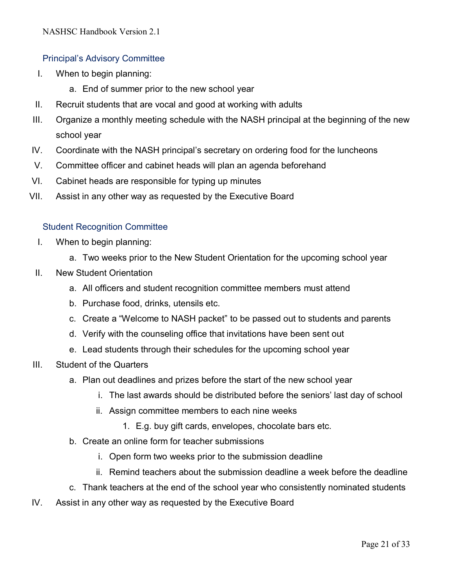## Principal's Advisory Committee

- I. When to begin planning:
	- a. End of summer prior to the new school year
- II. Recruit students that are vocal and good at working with adults
- III. Organize a monthly meeting schedule with the NASH principal at the beginning of the new school year
- IV. Coordinate with the NASH principal's secretary on ordering food for the luncheons
- V. Committee officer and cabinet heads will plan an agenda beforehand
- VI. Cabinet heads are responsible for typing up minutes
- VII. Assist in any other way as requested by the Executive Board

### Student Recognition Committee

- I. When to begin planning:
	- a. Two weeks prior to the New Student Orientation for the upcoming school year
- II. New Student Orientation
	- a. All officers and student recognition committee members must attend
	- b. Purchase food, drinks, utensils etc.
	- c. Create a "Welcome to NASH packet" to be passed out to students and parents
	- d. Verify with the counseling office that invitations have been sent out
	- e. Lead students through their schedules for the upcoming school year
- III. Student of the Quarters
	- a. Plan out deadlines and prizes before the start of the new school year
		- i. The last awards should be distributed before the seniors' last day of school
		- ii. Assign committee members to each nine weeks
			- 1. E.g. buy gift cards, envelopes, chocolate bars etc.
	- b. Create an online form for teacher submissions
		- i. Open form two weeks prior to the submission deadline
		- ii. Remind teachers about the submission deadline a week before the deadline
	- c. Thank teachers at the end of the school year who consistently nominated students
- IV. Assist in any other way as requested by the Executive Board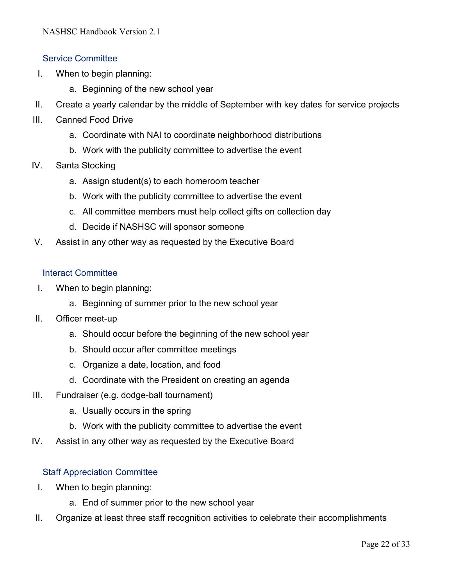#### Service Committee

- I. When to begin planning:
	- a. Beginning of the new school year
- II. Create a yearly calendar by the middle of September with key dates for service projects
- III. Canned Food Drive
	- a. Coordinate with NAI to coordinate neighborhood distributions
	- b. Work with the publicity committee to advertise the event
- IV. Santa Stocking
	- a. Assign student(s) to each homeroom teacher
	- b. Work with the publicity committee to advertise the event
	- c. All committee members must help collect gifts on collection day
	- d. Decide if NASHSC will sponsor someone
- V. Assist in any other way as requested by the Executive Board

#### Interact Committee

- I. When to begin planning:
	- a. Beginning of summer prior to the new school year
- II. Officer meet-up
	- a. Should occur before the beginning of the new school year
	- b. Should occur after committee meetings
	- c. Organize a date, location, and food
	- d. Coordinate with the President on creating an agenda
- III. Fundraiser (e.g. dodge-ball tournament)
	- a. Usually occurs in the spring
	- b. Work with the publicity committee to advertise the event
- IV. Assist in any other way as requested by the Executive Board

#### Staff Appreciation Committee

- I. When to begin planning:
	- a. End of summer prior to the new school year
- II. Organize at least three staff recognition activities to celebrate their accomplishments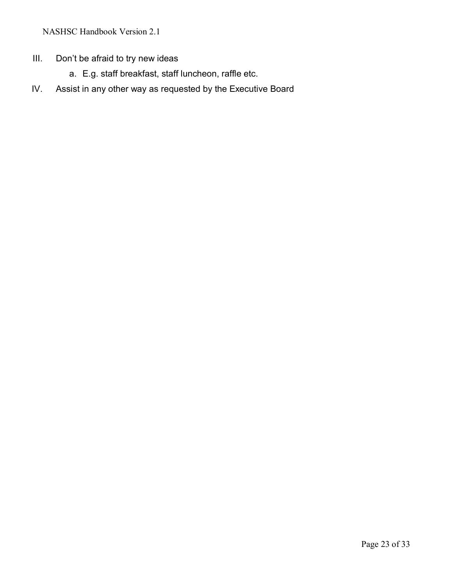NASHSC Handbook Version 2.1

- III. Don't be afraid to try new ideas
	- a. E.g. staff breakfast, staff luncheon, raffle etc.
- IV. Assist in any other way as requested by the Executive Board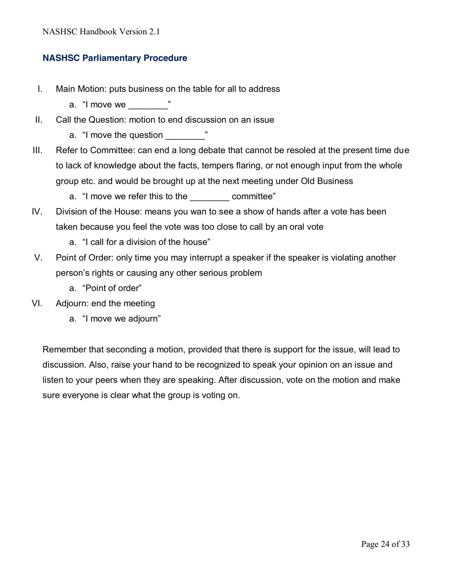## **NASHSC Parliamentary Procedure**

- I. Main Motion: puts business on the table for all to address
	- a. "I move we  $"$
- II. Call the Question: motion to end discussion on an issue
	- a. "I move the question \_\_\_\_\_\_\_\_"
- III. Refer to Committee: can end a long debate that cannot be resoled at the present time due to lack of knowledge about the facts, tempers flaring, or not enough input from the whole group etc. and would be brought up at the next meeting under Old Business
	- a. "I move we refer this to the committee"
- IV. Division of the House: means you wan to see a show of hands after a vote has been taken because you feel the vote was too close to call by an oral vote
	- a. "I call for a division of the house"
- V. Point of Order: only time you may interrupt a speaker if the speaker is violating another person's rights or causing any other serious problem
	- a. "Point of order"
- VI. Adjourn: end the meeting
	- a. "I move we adjourn"

Remember that seconding a motion, provided that there is support for the issue, will lead to discussion. Also, raise your hand to be recognized to speak your opinion on an issue and listen to your peers when they are speaking. After discussion, vote on the motion and make sure everyone is clear what the group is voting on.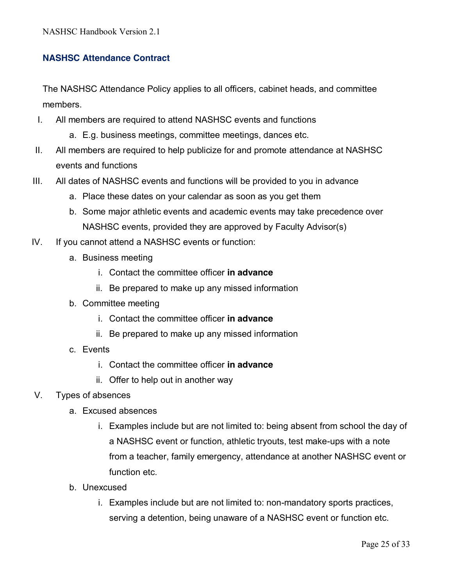## **NASHSC Attendance Contract**

The NASHSC Attendance Policy applies to all officers, cabinet heads, and committee members.

- I. All members are required to attend NASHSC events and functions
	- a. E.g. business meetings, committee meetings, dances etc.
- II. All members are required to help publicize for and promote attendance at NASHSC events and functions
- III. All dates of NASHSC events and functions will be provided to you in advance
	- a. Place these dates on your calendar as soon as you get them
	- b. Some major athletic events and academic events may take precedence over NASHSC events, provided they are approved by Faculty Advisor(s)
- IV. If you cannot attend a NASHSC events or function:
	- a. Business meeting
		- i. Contact the committee officer **in advance**
		- ii. Be prepared to make up any missed information
	- b. Committee meeting
		- i. Contact the committee officer **in advance**
		- ii. Be prepared to make up any missed information
	- c. Events
		- i. Contact the committee officer **in advance**
		- ii. Offer to help out in another way
- V. Types of absences
	- a. Excused absences
		- i. Examples include but are not limited to: being absent from school the day of a NASHSC event or function, athletic tryouts, test make-ups with a note from a teacher, family emergency, attendance at another NASHSC event or function etc.
	- b. Unexcused
		- i. Examples include but are not limited to: non-mandatory sports practices, serving a detention, being unaware of a NASHSC event or function etc.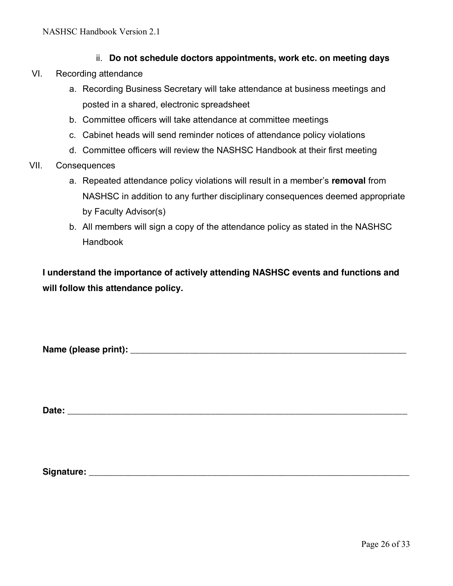- ii. **Do not schedule doctors appointments, work etc. on meeting days**
- VI. Recording attendance
	- a. Recording Business Secretary will take attendance at business meetings and posted in a shared, electronic spreadsheet
	- b. Committee officers will take attendance at committee meetings
	- c. Cabinet heads will send reminder notices of attendance policy violations
	- d. Committee officers will review the NASHSC Handbook at their first meeting
- VII. Consequences
	- a. Repeated attendance policy violations will result in a member's **removal** from NASHSC in addition to any further disciplinary consequences deemed appropriate by Faculty Advisor(s)
	- b. All members will sign a copy of the attendance policy as stated in the NASHSC Handbook

**I understand the importance of actively attending NASHSC events and functions and will follow this attendance policy.**

**Name (please print): \_\_\_\_\_\_\_\_\_\_\_\_\_\_\_\_\_\_\_\_\_\_\_\_\_\_\_\_\_\_\_\_\_\_\_\_\_\_\_\_\_\_\_\_\_\_\_\_\_\_\_\_\_\_\_\_**

**Date: \_\_\_\_\_\_\_\_\_\_\_\_\_\_\_\_\_\_\_\_\_\_\_\_\_\_\_\_\_\_\_\_\_\_\_\_\_\_\_\_\_\_\_\_\_\_\_\_\_\_\_\_\_\_\_\_\_\_\_\_\_\_\_\_\_\_\_\_\_**

**Signature: \_\_\_\_\_\_\_\_\_\_\_\_\_\_\_\_\_\_\_\_\_\_\_\_\_\_\_\_\_\_\_\_\_\_\_\_\_\_\_\_\_\_\_\_\_\_\_\_\_\_\_\_\_\_\_\_\_\_\_\_\_\_\_\_\_**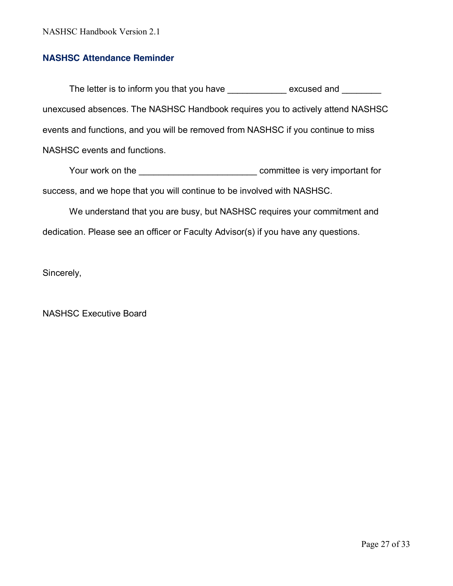#### **NASHSC Attendance Reminder**

The letter is to inform you that you have excused and  $\blacksquare$ unexcused absences. The NASHSC Handbook requires you to actively attend NASHSC events and functions, and you will be removed from NASHSC if you continue to miss NASHSC events and functions.

Your work on the \_\_\_\_\_\_\_\_\_\_\_\_\_\_\_\_\_\_\_\_\_\_\_\_\_\_\_\_\_\_\_\_\_\_ committee is very important for success, and we hope that you will continue to be involved with NASHSC.

We understand that you are busy, but NASHSC requires your commitment and dedication. Please see an officer or Faculty Advisor(s) if you have any questions.

Sincerely,

NASHSC Executive Board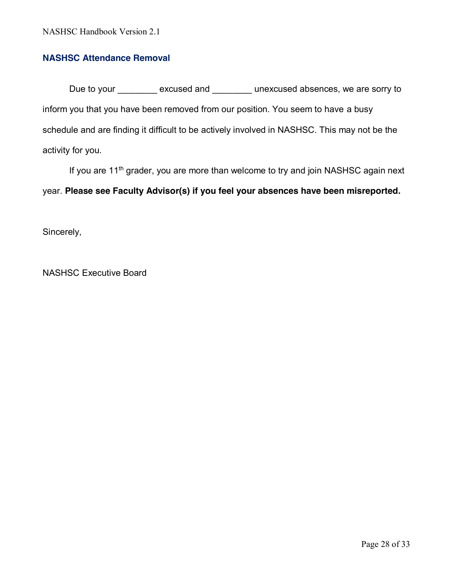#### **NASHSC Attendance Removal**

Due to your excused and excused absences, we are sorry to inform you that you have been removed from our position. You seem to have a busy schedule and are finding it difficult to be actively involved in NASHSC. This may not be the activity for you.

If you are  $11<sup>th</sup>$  grader, you are more than welcome to try and join NASHSC again next year. **Please see Faculty Advisor(s) if you feel your absences have been misreported.**

Sincerely,

NASHSC Executive Board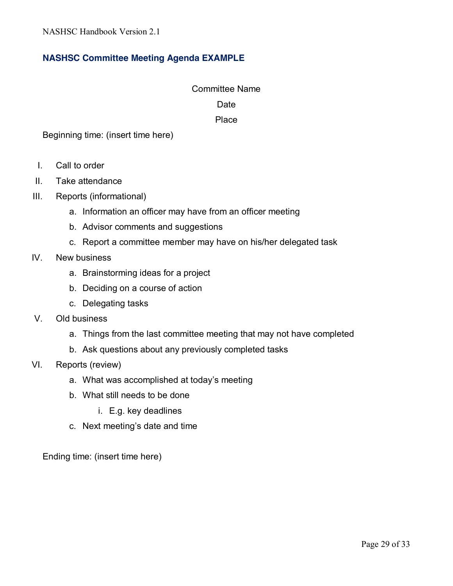## **NASHSC Committee Meeting Agenda EXAMPLE**

## Committee Name Date

#### Place

Beginning time: (insert time here)

- I. Call to order
- II. Take attendance
- III. Reports (informational)
	- a. Information an officer may have from an officer meeting
	- b. Advisor comments and suggestions
	- c. Report a committee member may have on his/her delegated task
- IV. New business
	- a. Brainstorming ideas for a project
	- b. Deciding on a course of action
	- c. Delegating tasks
- V. Old business
	- a. Things from the last committee meeting that may not have completed
	- b. Ask questions about any previously completed tasks
- VI. Reports (review)
	- a. What was accomplished at today's meeting
	- b. What still needs to be done
		- i. E.g. key deadlines
	- c. Next meeting's date and time

Ending time: (insert time here)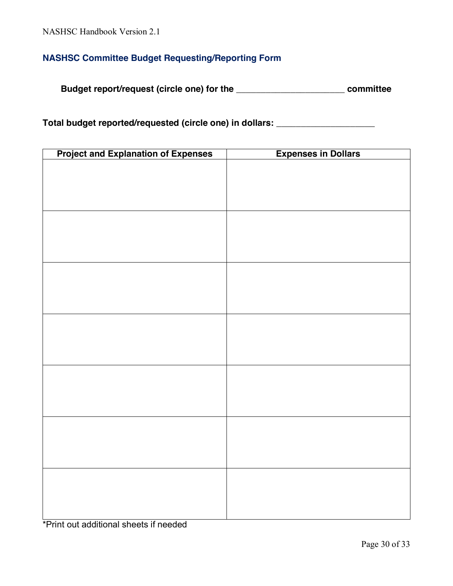## **NASHSC Committee Budget Requesting/Reporting Form**

**Budget report/request (circle one) for the \_\_\_\_\_\_\_\_\_\_\_\_\_\_\_\_\_\_\_\_\_\_ committee**

**Total budget reported/requested (circle one) in dollars: \_\_\_\_\_\_\_\_\_\_\_\_\_\_\_\_\_\_\_\_**

| <b>Project and Explanation of Expenses</b> | <b>Expenses in Dollars</b> |
|--------------------------------------------|----------------------------|
|                                            |                            |
|                                            |                            |
|                                            |                            |
|                                            |                            |
|                                            |                            |
|                                            |                            |
|                                            |                            |
|                                            |                            |
|                                            |                            |
|                                            |                            |
|                                            |                            |
|                                            |                            |
|                                            |                            |
|                                            |                            |
|                                            |                            |
|                                            |                            |
|                                            |                            |
|                                            |                            |
|                                            |                            |
|                                            |                            |
|                                            |                            |
|                                            |                            |
|                                            |                            |
|                                            |                            |
|                                            |                            |
|                                            |                            |
|                                            |                            |

\*Print out additional sheets if needed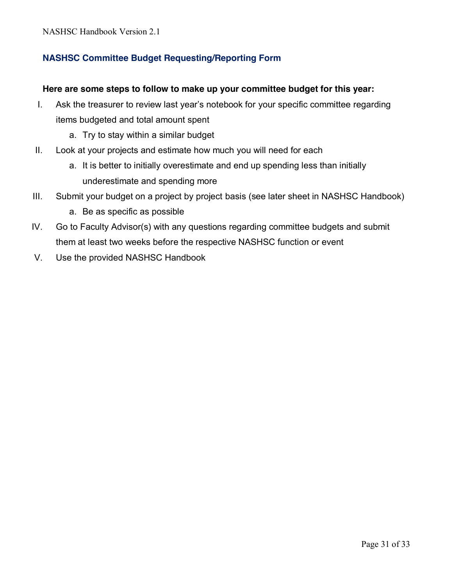## **NASHSC Committee Budget Requesting/Reporting Form**

#### **Here are some steps to follow to make up your committee budget for this year:**

- I. Ask the treasurer to review last year's notebook for your specific committee regarding items budgeted and total amount spent
	- a. Try to stay within a similar budget
- II. Look at your projects and estimate how much you will need for each
	- a. It is better to initially overestimate and end up spending less than initially underestimate and spending more
- III. Submit your budget on a project by project basis (see later sheet in NASHSC Handbook)
	- a. Be as specific as possible
- IV. Go to Faculty Advisor(s) with any questions regarding committee budgets and submit them at least two weeks before the respective NASHSC function or event
- V. Use the provided NASHSC Handbook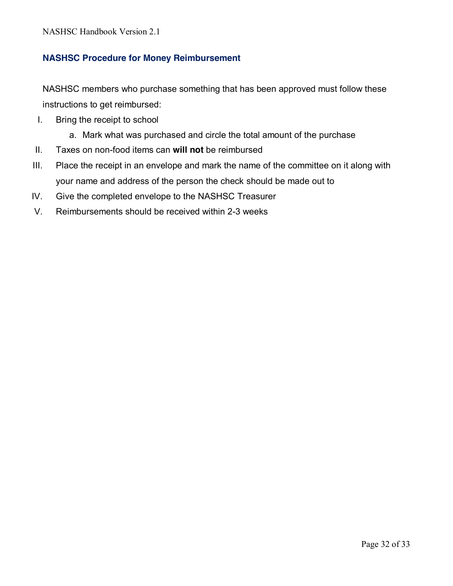## **NASHSC Procedure for Money Reimbursement**

NASHSC members who purchase something that has been approved must follow these instructions to get reimbursed:

- I. Bring the receipt to school
	- a. Mark what was purchased and circle the total amount of the purchase
- II. Taxes on non-food items can **will not** be reimbursed
- III. Place the receipt in an envelope and mark the name of the committee on it along with your name and address of the person the check should be made out to
- IV. Give the completed envelope to the NASHSC Treasurer
- V. Reimbursements should be received within 2-3 weeks